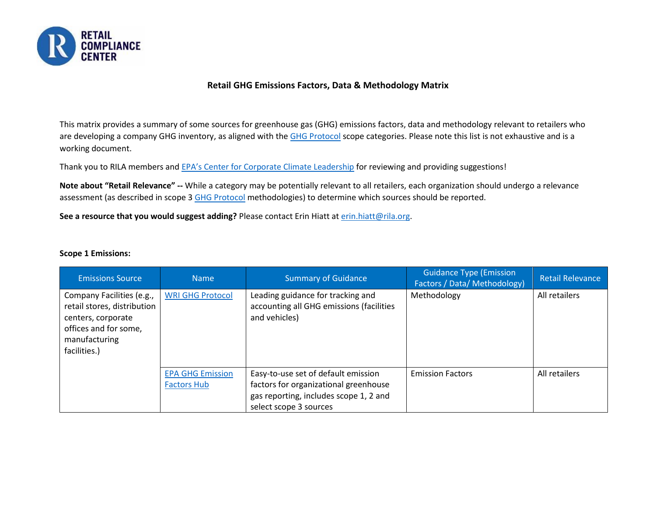

### **Retail GHG Emissions Factors, Data & Methodology Matrix**

This matrix provides a summary of some sources for greenhouse gas (GHG) emissions factors, data and methodology relevant to retailers who are developing a company GHG inventory, as aligned with the [GHG Protocol](https://ghgprotocol.org/) scope categories. Please note this list is not exhaustive and is a working document.

Thank you to RILA members and [EPA's Center for Corporate Climate Leadership](https://www.epa.gov/climateleadership) for reviewing and providing suggestions!

**Note about "Retail Relevance" --** While a category may be potentially relevant to all retailers, each organization should undergo a relevance assessment (as described in scope 3 [GHG Protocol](https://ghgprotocol.org/) methodologies) to determine which sources should be reported.

**See a resource that you would suggest adding?** Please contact Erin Hiatt a[t erin.hiatt@rila.org.](mailto:erin.hiatt@rila.org)

#### **Scope 1 Emissions:**

| <b>Emissions Source</b>                                                                                                                  | <b>Name</b>             | <b>Summary of Guidance</b>                                                                     | <b>Guidance Type (Emission</b><br>Factors / Data/ Methodology) | <b>Retail Relevance</b> |
|------------------------------------------------------------------------------------------------------------------------------------------|-------------------------|------------------------------------------------------------------------------------------------|----------------------------------------------------------------|-------------------------|
| Company Facilities (e.g.,<br>retail stores, distribution<br>centers, corporate<br>offices and for some,<br>manufacturing<br>facilities.) | <b>WRI GHG Protocol</b> | Leading guidance for tracking and<br>accounting all GHG emissions (facilities<br>and vehicles) | Methodology                                                    | All retailers           |
|                                                                                                                                          | <b>EPA GHG Emission</b> | Easy-to-use set of default emission                                                            | <b>Emission Factors</b>                                        | All retailers           |
|                                                                                                                                          | <b>Factors Hub</b>      | factors for organizational greenhouse                                                          |                                                                |                         |
|                                                                                                                                          |                         | gas reporting, includes scope 1, 2 and                                                         |                                                                |                         |
|                                                                                                                                          |                         | select scope 3 sources                                                                         |                                                                |                         |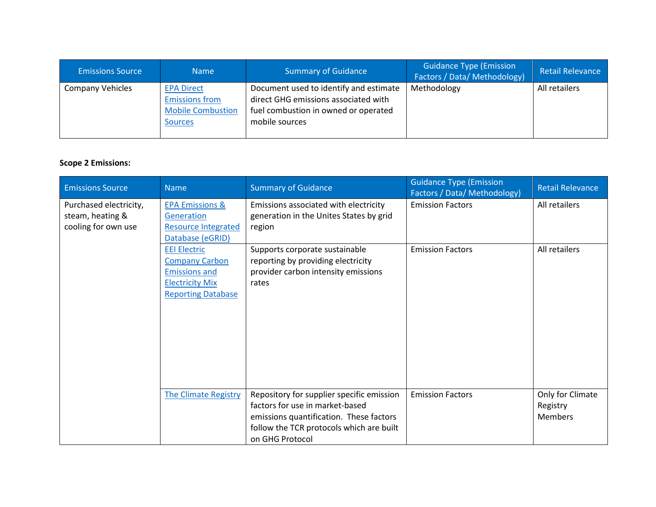| <b>Emissions Source</b> | <b>Name</b>                                                                              | <b>Summary of Guidance</b>                                                                                                               | <b>Guidance Type (Emission</b><br><b>Factors / Data/ Methodology)</b> | <b>Retail Relevance</b> |
|-------------------------|------------------------------------------------------------------------------------------|------------------------------------------------------------------------------------------------------------------------------------------|-----------------------------------------------------------------------|-------------------------|
| <b>Company Vehicles</b> | <b>EPA Direct</b><br><b>Emissions from</b><br><b>Mobile Combustion</b><br><b>Sources</b> | Document used to identify and estimate<br>direct GHG emissions associated with<br>fuel combustion in owned or operated<br>mobile sources | Methodology                                                           | All retailers           |

# **Scope 2 Emissions:**

| <b>Emissions Source</b>                                           | <b>Name</b>                                                                                                                 | <b>Summary of Guidance</b>                                                                                                                                                             | <b>Guidance Type (Emission</b><br>Factors / Data/ Methodology) | <b>Retail Relevance</b>                        |
|-------------------------------------------------------------------|-----------------------------------------------------------------------------------------------------------------------------|----------------------------------------------------------------------------------------------------------------------------------------------------------------------------------------|----------------------------------------------------------------|------------------------------------------------|
| Purchased electricity,<br>steam, heating &<br>cooling for own use | <b>EPA Emissions &amp;</b><br>Generation<br><b>Resource Integrated</b><br>Database (eGRID)                                  | Emissions associated with electricity<br>generation in the Unites States by grid<br>region                                                                                             | <b>Emission Factors</b>                                        | All retailers                                  |
|                                                                   | <b>EEI Electric</b><br><b>Company Carbon</b><br><b>Emissions and</b><br><b>Electricity Mix</b><br><b>Reporting Database</b> | Supports corporate sustainable<br>reporting by providing electricity<br>provider carbon intensity emissions<br>rates                                                                   | <b>Emission Factors</b>                                        | All retailers                                  |
|                                                                   | <b>The Climate Registry</b>                                                                                                 | Repository for supplier specific emission<br>factors for use in market-based<br>emissions quantification. These factors<br>follow the TCR protocols which are built<br>on GHG Protocol | <b>Emission Factors</b>                                        | Only for Climate<br>Registry<br><b>Members</b> |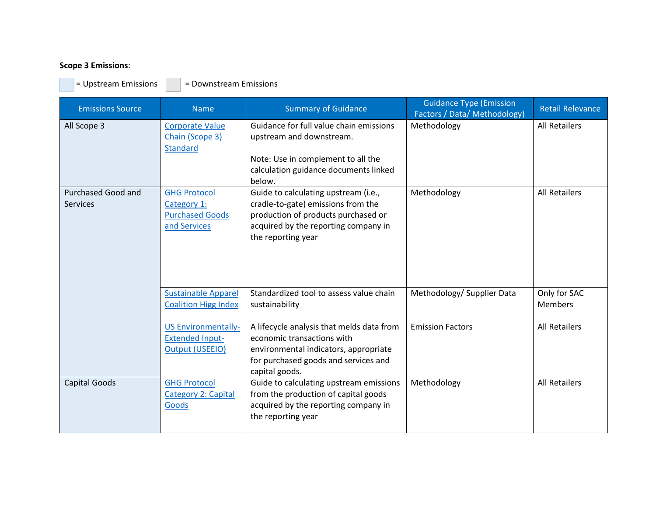# **Scope 3 Emissions**:

 $=$  Upstream Emissions  $\boxed{\phantom{1}}$  = Downstream Emissions

| <b>Emissions Source</b>                      | <b>Name</b>                                                                    | <b>Summary of Guidance</b>                                                                                                                                                      | <b>Guidance Type (Emission</b><br>Factors / Data/ Methodology) | <b>Retail Relevance</b>        |
|----------------------------------------------|--------------------------------------------------------------------------------|---------------------------------------------------------------------------------------------------------------------------------------------------------------------------------|----------------------------------------------------------------|--------------------------------|
| All Scope 3                                  | Corporate Value<br>Chain (Scope 3)<br><b>Standard</b>                          | Guidance for full value chain emissions<br>upstream and downstream.<br>Note: Use in complement to all the<br>calculation guidance documents linked<br>below.                    | Methodology                                                    | <b>All Retailers</b>           |
| <b>Purchased Good and</b><br><b>Services</b> | <b>GHG Protocol</b><br>Category 1:<br><b>Purchased Goods</b><br>and Services   | Guide to calculating upstream (i.e.,<br>cradle-to-gate) emissions from the<br>production of products purchased or<br>acquired by the reporting company in<br>the reporting year | Methodology                                                    | <b>All Retailers</b>           |
|                                              | <b>Sustainable Apparel</b><br><b>Coalition Higg Index</b>                      | Standardized tool to assess value chain<br>sustainability                                                                                                                       | Methodology/ Supplier Data                                     | Only for SAC<br><b>Members</b> |
|                                              | <b>US Environmentally-</b><br><b>Extended Input-</b><br><b>Output (USEEIO)</b> | A lifecycle analysis that melds data from<br>economic transactions with<br>environmental indicators, appropriate<br>for purchased goods and services and<br>capital goods.      | <b>Emission Factors</b>                                        | <b>All Retailers</b>           |
| <b>Capital Goods</b>                         | <b>GHG Protocol</b><br><b>Category 2: Capital</b><br>Goods                     | Guide to calculating upstream emissions<br>from the production of capital goods<br>acquired by the reporting company in<br>the reporting year                                   | Methodology                                                    | <b>All Retailers</b>           |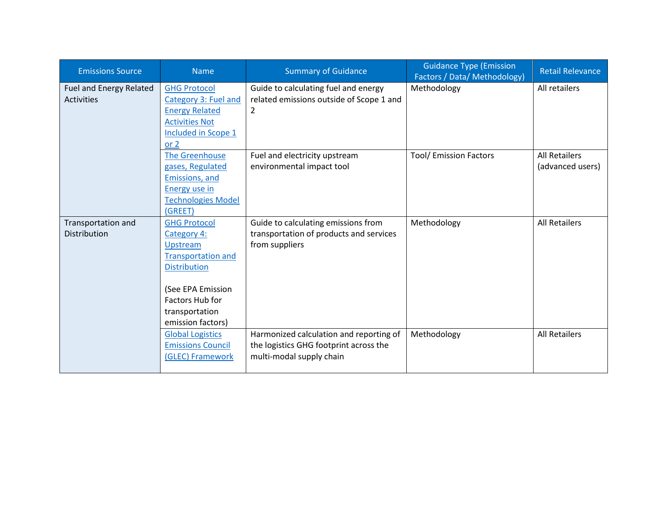| <b>Emissions Source</b>               | <b>Name</b>                                         | <b>Summary of Guidance</b>                                                        | <b>Guidance Type (Emission</b><br>Factors / Data/ Methodology) | <b>Retail Relevance</b> |
|---------------------------------------|-----------------------------------------------------|-----------------------------------------------------------------------------------|----------------------------------------------------------------|-------------------------|
| Fuel and Energy Related<br>Activities | <b>GHG Protocol</b><br>Category 3: Fuel and         | Guide to calculating fuel and energy<br>related emissions outside of Scope 1 and  | Methodology                                                    | All retailers           |
|                                       | <b>Energy Related</b>                               | 2                                                                                 |                                                                |                         |
|                                       | <b>Activities Not</b>                               |                                                                                   |                                                                |                         |
|                                       | Included in Scope 1                                 |                                                                                   |                                                                |                         |
|                                       | or $2$<br><b>The Greenhouse</b>                     | Fuel and electricity upstream                                                     | <b>Tool/ Emission Factors</b>                                  | <b>All Retailers</b>    |
|                                       | gases, Regulated                                    | environmental impact tool                                                         |                                                                | (advanced users)        |
|                                       | Emissions, and                                      |                                                                                   |                                                                |                         |
|                                       | Energy use in                                       |                                                                                   |                                                                |                         |
|                                       | <b>Technologies Model</b>                           |                                                                                   |                                                                |                         |
|                                       | (GREET)                                             |                                                                                   |                                                                |                         |
| <b>Transportation and</b>             | <b>GHG Protocol</b>                                 | Guide to calculating emissions from                                               | Methodology                                                    | <b>All Retailers</b>    |
| <b>Distribution</b>                   | Category 4:<br>Upstream                             | transportation of products and services<br>from suppliers                         |                                                                |                         |
|                                       | <b>Transportation and</b>                           |                                                                                   |                                                                |                         |
|                                       | <b>Distribution</b>                                 |                                                                                   |                                                                |                         |
|                                       |                                                     |                                                                                   |                                                                |                         |
|                                       | (See EPA Emission                                   |                                                                                   |                                                                |                         |
|                                       | <b>Factors Hub for</b>                              |                                                                                   |                                                                |                         |
|                                       | transportation                                      |                                                                                   |                                                                |                         |
|                                       | emission factors)                                   |                                                                                   |                                                                | <b>All Retailers</b>    |
|                                       | <b>Global Logistics</b><br><b>Emissions Council</b> | Harmonized calculation and reporting of<br>the logistics GHG footprint across the | Methodology                                                    |                         |
|                                       | (GLEC) Framework                                    | multi-modal supply chain                                                          |                                                                |                         |
|                                       |                                                     |                                                                                   |                                                                |                         |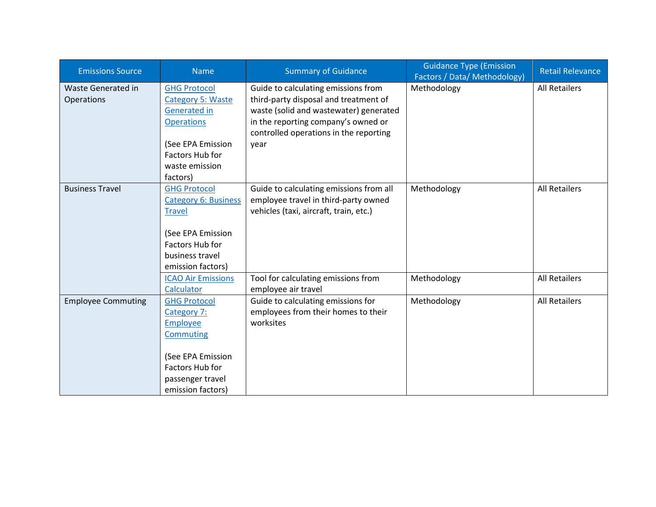| <b>Emissions Source</b>   | <b>Name</b>                 | <b>Summary of Guidance</b>              | <b>Guidance Type (Emission</b><br>Factors / Data/ Methodology) | <b>Retail Relevance</b> |
|---------------------------|-----------------------------|-----------------------------------------|----------------------------------------------------------------|-------------------------|
| <b>Waste Generated in</b> | <b>GHG Protocol</b>         | Guide to calculating emissions from     | Methodology                                                    | <b>All Retailers</b>    |
| Operations                | <b>Category 5: Waste</b>    | third-party disposal and treatment of   |                                                                |                         |
|                           | <b>Generated in</b>         | waste (solid and wastewater) generated  |                                                                |                         |
|                           | <b>Operations</b>           | in the reporting company's owned or     |                                                                |                         |
|                           |                             | controlled operations in the reporting  |                                                                |                         |
|                           | (See EPA Emission           | year                                    |                                                                |                         |
|                           | Factors Hub for             |                                         |                                                                |                         |
|                           | waste emission              |                                         |                                                                |                         |
|                           | factors)                    |                                         |                                                                |                         |
| <b>Business Travel</b>    | <b>GHG Protocol</b>         | Guide to calculating emissions from all | Methodology                                                    | <b>All Retailers</b>    |
|                           | <b>Category 6: Business</b> | employee travel in third-party owned    |                                                                |                         |
|                           | <b>Travel</b>               | vehicles (taxi, aircraft, train, etc.)  |                                                                |                         |
|                           |                             |                                         |                                                                |                         |
|                           | (See EPA Emission           |                                         |                                                                |                         |
|                           | Factors Hub for             |                                         |                                                                |                         |
|                           | business travel             |                                         |                                                                |                         |
|                           | emission factors)           |                                         |                                                                |                         |
|                           | <b>ICAO Air Emissions</b>   | Tool for calculating emissions from     | Methodology                                                    | <b>All Retailers</b>    |
|                           | Calculator                  | employee air travel                     |                                                                |                         |
| <b>Employee Commuting</b> | <b>GHG Protocol</b>         | Guide to calculating emissions for      | Methodology                                                    | <b>All Retailers</b>    |
|                           | Category 7:                 | employees from their homes to their     |                                                                |                         |
|                           | <b>Employee</b>             | worksites                               |                                                                |                         |
|                           | <b>Commuting</b>            |                                         |                                                                |                         |
|                           |                             |                                         |                                                                |                         |
|                           | (See EPA Emission           |                                         |                                                                |                         |
|                           | Factors Hub for             |                                         |                                                                |                         |
|                           | passenger travel            |                                         |                                                                |                         |
|                           | emission factors)           |                                         |                                                                |                         |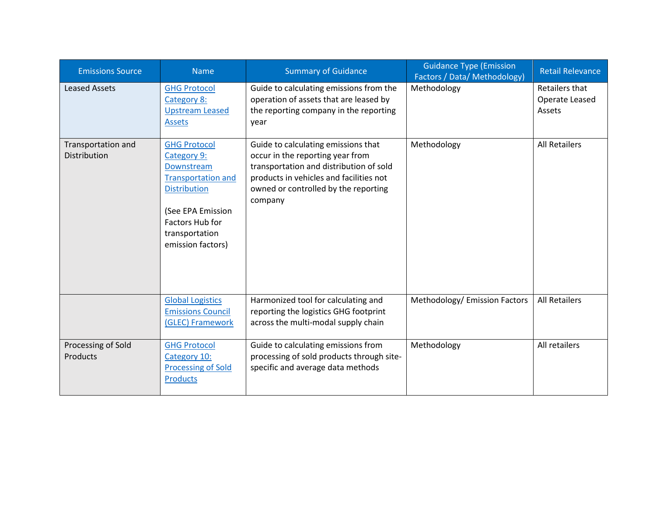| <b>Emissions Source</b>            | <b>Name</b>                                                                                                                                                                         | <b>Summary of Guidance</b>                                                                                                                                                                                       | <b>Guidance Type (Emission</b><br>Factors / Data/ Methodology) | Retail Relevance                           |
|------------------------------------|-------------------------------------------------------------------------------------------------------------------------------------------------------------------------------------|------------------------------------------------------------------------------------------------------------------------------------------------------------------------------------------------------------------|----------------------------------------------------------------|--------------------------------------------|
| <b>Leased Assets</b>               | <b>GHG Protocol</b><br>Category 8:<br><b>Upstream Leased</b><br><b>Assets</b>                                                                                                       | Guide to calculating emissions from the<br>operation of assets that are leased by<br>the reporting company in the reporting<br>year                                                                              | Methodology                                                    | Retailers that<br>Operate Leased<br>Assets |
| Transportation and<br>Distribution | <b>GHG Protocol</b><br>Category 9:<br>Downstream<br><b>Transportation and</b><br><b>Distribution</b><br>(See EPA Emission<br>Factors Hub for<br>transportation<br>emission factors) | Guide to calculating emissions that<br>occur in the reporting year from<br>transportation and distribution of sold<br>products in vehicles and facilities not<br>owned or controlled by the reporting<br>company | Methodology                                                    | <b>All Retailers</b>                       |
|                                    | <b>Global Logistics</b><br><b>Emissions Council</b><br>(GLEC) Framework                                                                                                             | Harmonized tool for calculating and<br>reporting the logistics GHG footprint<br>across the multi-modal supply chain                                                                                              | Methodology/ Emission Factors                                  | <b>All Retailers</b>                       |
| Processing of Sold<br>Products     | <b>GHG Protocol</b><br>Category 10:<br><b>Processing of Sold</b><br><b>Products</b>                                                                                                 | Guide to calculating emissions from<br>processing of sold products through site-<br>specific and average data methods                                                                                            | Methodology                                                    | All retailers                              |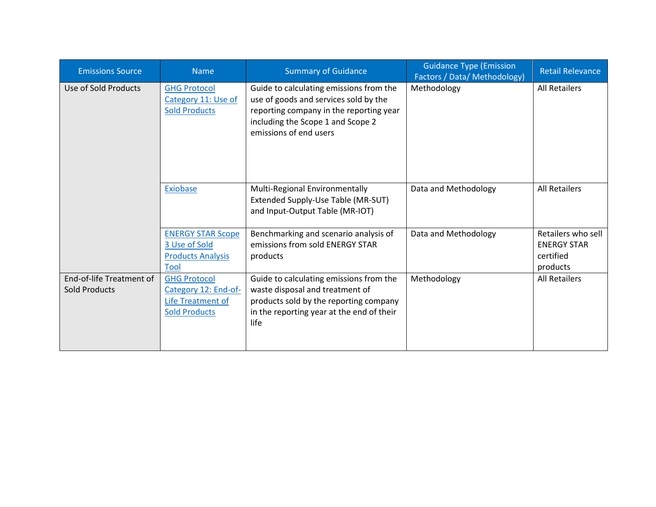| <b>Emissions Source</b>                          | <b>Name</b>                                                                              | <b>Summary of Guidance</b>                                                                                                                                                                 | <b>Guidance Type (Emission</b><br><b>Factors / Data/ Methodology)</b> | <b>Retail Relevance</b>                                           |
|--------------------------------------------------|------------------------------------------------------------------------------------------|--------------------------------------------------------------------------------------------------------------------------------------------------------------------------------------------|-----------------------------------------------------------------------|-------------------------------------------------------------------|
| Use of Sold Products                             | <b>GHG Protocol</b><br>Category 11: Use of<br><b>Sold Products</b>                       | Guide to calculating emissions from the<br>use of goods and services sold by the<br>reporting company in the reporting year<br>including the Scope 1 and Scope 2<br>emissions of end users | Methodology                                                           | <b>All Retailers</b>                                              |
|                                                  | Exiobase                                                                                 | Multi-Regional Environmentally<br>Extended Supply-Use Table (MR-SUT)<br>and Input-Output Table (MR-IOT)                                                                                    | Data and Methodology                                                  | <b>All Retailers</b>                                              |
|                                                  | <b>ENERGY STAR Scope</b><br>3 Use of Sold<br><b>Products Analysis</b><br>Tool            | Benchmarking and scenario analysis of<br>emissions from sold ENERGY STAR<br>products                                                                                                       | Data and Methodology                                                  | Retailers who sell<br><b>ENERGY STAR</b><br>certified<br>products |
| End-of-life Treatment of<br><b>Sold Products</b> | <b>GHG Protocol</b><br>Category 12: End-of-<br>Life Treatment of<br><b>Sold Products</b> | Guide to calculating emissions from the<br>waste disposal and treatment of<br>products sold by the reporting company<br>in the reporting year at the end of their<br>life                  | Methodology                                                           | <b>All Retailers</b>                                              |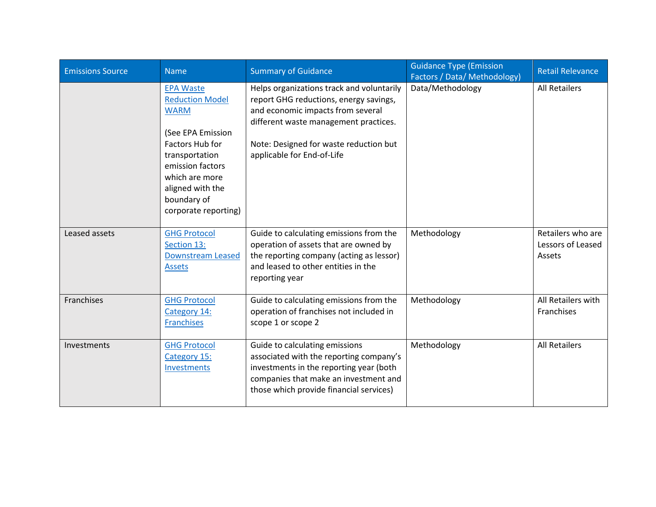| <b>Emissions Source</b> | <b>Name</b>                                                                                                                                                                                                                 | <b>Summary of Guidance</b>                                                                                                                                                                                                                | <b>Guidance Type (Emission</b><br>Factors / Data/ Methodology) | <b>Retail Relevance</b>                          |
|-------------------------|-----------------------------------------------------------------------------------------------------------------------------------------------------------------------------------------------------------------------------|-------------------------------------------------------------------------------------------------------------------------------------------------------------------------------------------------------------------------------------------|----------------------------------------------------------------|--------------------------------------------------|
|                         | <b>EPA Waste</b><br><b>Reduction Model</b><br><b>WARM</b><br>(See EPA Emission<br><b>Factors Hub for</b><br>transportation<br>emission factors<br>which are more<br>aligned with the<br>boundary of<br>corporate reporting) | Helps organizations track and voluntarily<br>report GHG reductions, energy savings,<br>and economic impacts from several<br>different waste management practices.<br>Note: Designed for waste reduction but<br>applicable for End-of-Life | Data/Methodology                                               | <b>All Retailers</b>                             |
| Leased assets           | <b>GHG Protocol</b><br>Section 13:<br><b>Downstream Leased</b><br><b>Assets</b>                                                                                                                                             | Guide to calculating emissions from the<br>operation of assets that are owned by<br>the reporting company (acting as lessor)<br>and leased to other entities in the<br>reporting year                                                     | Methodology                                                    | Retailers who are<br>Lessors of Leased<br>Assets |
| Franchises              | <b>GHG Protocol</b><br>Category 14:<br><b>Franchises</b>                                                                                                                                                                    | Guide to calculating emissions from the<br>operation of franchises not included in<br>scope 1 or scope 2                                                                                                                                  | Methodology                                                    | All Retailers with<br>Franchises                 |
| Investments             | <b>GHG Protocol</b><br>Category 15:<br>Investments                                                                                                                                                                          | Guide to calculating emissions<br>associated with the reporting company's<br>investments in the reporting year (both<br>companies that make an investment and<br>those which provide financial services)                                  | Methodology                                                    | <b>All Retailers</b>                             |